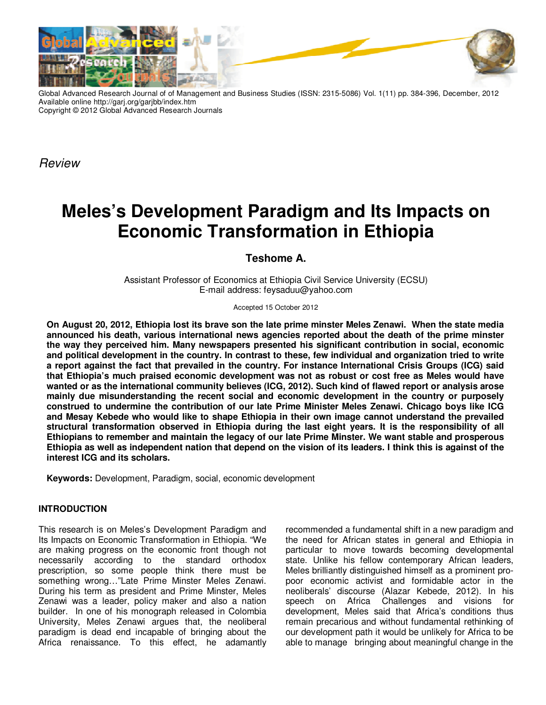

Global Advanced Research Journal of of Management and Business Studies (ISSN: 2315-5086) Vol. 1(11) pp. 384-396, December, 2012 Available online http://garj.org/garjbb/index.htm Copyright © 2012 Global Advanced Research Journals

Review

# **Meles's Development Paradigm and Its Impacts on Economic Transformation in Ethiopia**

# **Teshome A.**

Assistant Professor of Economics at Ethiopia Civil Service University (ECSU) E-mail address: feysaduu@yahoo.com

Accepted 15 October 2012

**On August 20, 2012, Ethiopia lost its brave son the late prime minster Meles Zenawi. When the state media announced his death, various international news agencies reported about the death of the prime minster the way they perceived him. Many newspapers presented his significant contribution in social, economic and political development in the country. In contrast to these, few individual and organization tried to write a report against the fact that prevailed in the country. For instance International Crisis Groups (ICG) said that Ethiopia's much praised economic development was not as robust or cost free as Meles would have wanted or as the international community believes (ICG, 2012). Such kind of flawed report or analysis arose mainly due misunderstanding the recent social and economic development in the country or purposely construed to undermine the contribution of our late Prime Minister Meles Zenawi. Chicago boys like ICG and Mesay Kebede who would like to shape Ethiopia in their own image cannot understand the prevailed structural transformation observed in Ethiopia during the last eight years. It is the responsibility of all Ethiopians to remember and maintain the legacy of our late Prime Minster. We want stable and prosperous Ethiopia as well as independent nation that depend on the vision of its leaders. I think this is against of the interest ICG and its scholars.** 

**Keywords:** Development, Paradigm, social, economic development

# **INTRODUCTION**

This research is on Meles's Development Paradigm and Its Impacts on Economic Transformation in Ethiopia. "We are making progress on the economic front though not necessarily according to the standard orthodox prescription, so some people think there must be something wrong…"Late Prime Minster Meles Zenawi. During his term as president and Prime Minster, Meles Zenawi was a leader, policy maker and also a nation builder. In one of his monograph released in Colombia University, Meles Zenawi argues that, the neoliberal paradigm is dead end incapable of bringing about the Africa renaissance. To this effect, he adamantly

recommended a fundamental shift in a new paradigm and the need for African states in general and Ethiopia in particular to move towards becoming developmental state. Unlike his fellow contemporary African leaders, Meles brilliantly distinguished himself as a prominent propoor economic activist and formidable actor in the neoliberals' discourse (Alazar Kebede, 2012). In his speech on Africa Challenges and visions for development, Meles said that Africa's conditions thus remain precarious and without fundamental rethinking of our development path it would be unlikely for Africa to be able to manage bringing about meaningful change in the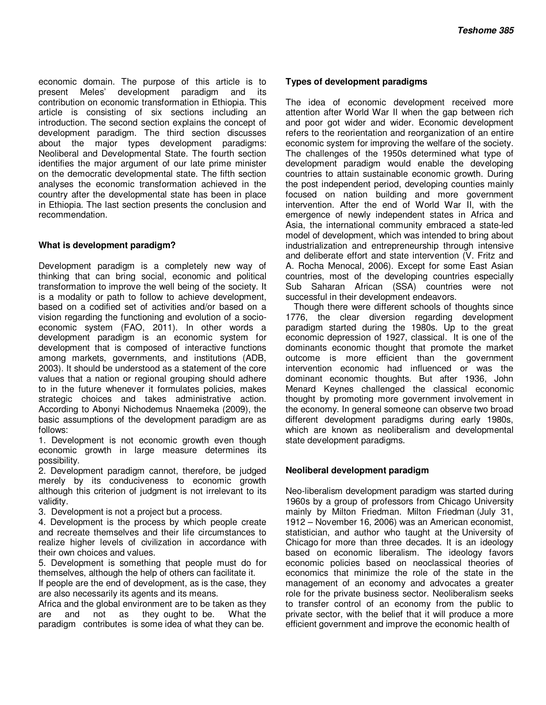economic domain. The purpose of this article is to present Meles' development paradigm and its contribution on economic transformation in Ethiopia. This article is consisting of six sections including an introduction. The second section explains the concept of development paradigm. The third section discusses about the major types development paradigms: Neoliberal and Developmental State. The fourth section identifies the major argument of our late prime minister on the democratic developmental state. The fifth section analyses the economic transformation achieved in the country after the developmental state has been in place in Ethiopia. The last section presents the conclusion and recommendation.

#### **What is development paradigm?**

Development paradigm is a completely new way of thinking that can bring social, economic and political transformation to improve the well being of the society. It is a modality or path to follow to achieve development, based on a codified set of activities and/or based on a vision regarding the functioning and evolution of a socioeconomic system (FAO, 2011). In other words a development paradigm is an economic system for development that is composed of interactive functions among markets, governments, and institutions (ADB, 2003). It should be understood as a statement of the core values that a nation or regional grouping should adhere to in the future whenever it formulates policies, makes strategic choices and takes administrative action. According to Abonyi Nichodemus Nnaemeka (2009), the basic assumptions of the development paradigm are as follows:

1. Development is not economic growth even though economic growth in large measure determines its possibility.

2. Development paradigm cannot, therefore, be judged merely by its conduciveness to economic growth although this criterion of judgment is not irrelevant to its validity.

3. Development is not a project but a process.

4. Development is the process by which people create and recreate themselves and their life circumstances to realize higher levels of civilization in accordance with their own choices and values.

5. Development is something that people must do for themselves, although the help of others can facilitate it.

If people are the end of development, as is the case, they are also necessarily its agents and its means.

Africa and the global environment are to be taken as they are and not as they ought to be. What the paradigm contributes is some idea of what they can be.

#### **Types of development paradigms**

The idea of economic development received more attention after World War II when the gap between rich and poor got wider and wider. Economic development refers to the reorientation and reorganization of an entire economic system for improving the welfare of the society. The challenges of the 1950s determined what type of development paradigm would enable the developing countries to attain sustainable economic growth. During the post independent period, developing counties mainly focused on nation building and more government intervention. After the end of World War II, with the emergence of newly independent states in Africa and Asia, the international community embraced a state-led model of development, which was intended to bring about industrialization and entrepreneurship through intensive and deliberate effort and state intervention (V. Fritz and A. Rocha Menocal, 2006). Except for some East Asian countries, most of the developing countries especially Sub Saharan African (SSA) countries were not successful in their development endeavors.

Though there were different schools of thoughts since 1776, the clear diversion regarding development paradigm started during the 1980s. Up to the great economic depression of 1927, classical. It is one of the dominants economic thought that promote the market outcome is more efficient than the government intervention economic had influenced or was the dominant economic thoughts. But after 1936, John Menard Keynes challenged the classical economic thought by promoting more government involvement in the economy. In general someone can observe two broad different development paradigms during early 1980s, which are known as neoliberalism and developmental state development paradigms.

#### **Neoliberal development paradigm**

Neo-liberalism development paradigm was started during 1960s by a group of professors from Chicago University mainly by Milton Friedman. Milton Friedman (July 31, 1912 – November 16, 2006) was an American economist, statistician, and author who taught at the University of Chicago for more than three decades. It is an ideology based on economic liberalism. The ideology favors economic policies based on neoclassical theories of economics that minimize the role of the state in the management of an economy and advocates a greater role for the private business sector. Neoliberalism seeks to transfer control of an economy from the public to private sector, with the belief that it will produce a more efficient government and improve the economic health of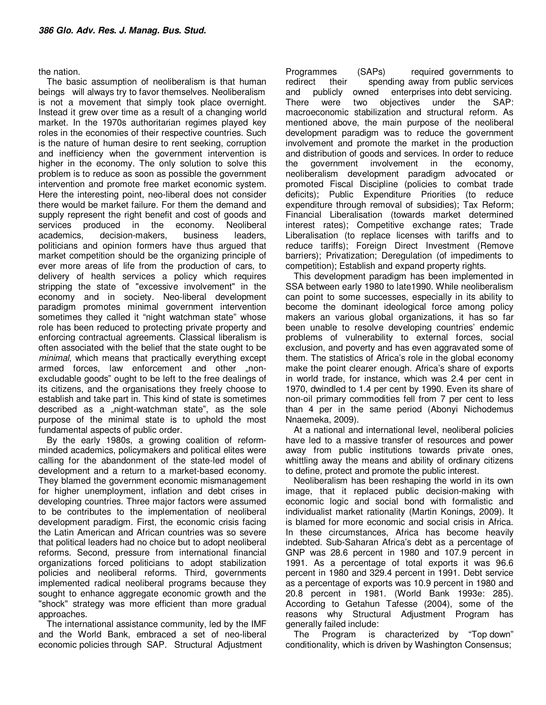#### the nation.

The basic assumption of neoliberalism is that human beings will always try to favor themselves. Neoliberalism is not a movement that simply took place overnight. Instead it grew over time as a result of a changing world market. In the 1970s authoritarian regimes played key roles in the economies of their respective countries. Such is the nature of human desire to rent seeking, corruption and inefficiency when the government intervention is higher in the economy. The only solution to solve this problem is to reduce as soon as possible the government intervention and promote free market economic system. Here the interesting point, neo-liberal does not consider there would be market failure. For them the demand and supply represent the right benefit and cost of goods and services produced in the economy. Neoliberal academics, decision-makers, business leaders, politicians and opinion formers have thus argued that market competition should be the organizing principle of ever more areas of life from the production of cars, to delivery of health services a policy which requires stripping the state of "excessive involvement" in the economy and in society. Neo-liberal development paradigm promotes minimal government intervention sometimes they called it "night watchman state" whose role has been reduced to protecting private property and enforcing contractual agreements. Classical liberalism is often associated with the belief that the state ought to be minimal, which means that practically everything except armed forces, law enforcement and other "nonexcludable goods" ought to be left to the free dealings of its citizens, and the organisations they freely choose to establish and take part in. This kind of state is sometimes described as a "night-watchman state", as the sole purpose of the minimal state is to uphold the most fundamental aspects of public order.

By the early 1980s, a growing coalition of reformminded academics, policymakers and political elites were calling for the abandonment of the state-led model of development and a return to a market-based economy. They blamed the government economic mismanagement for higher unemployment, inflation and debt crises in developing countries. Three major factors were assumed to be contributes to the implementation of neoliberal development paradigm. First, the economic crisis facing the Latin American and African countries was so severe that political leaders had no choice but to adopt neoliberal reforms. Second, pressure from international financial organizations forced politicians to adopt stabilization policies and neoliberal reforms. Third, governments implemented radical neoliberal programs because they sought to enhance aggregate economic growth and the "shock" strategy was more efficient than more gradual approaches.

The international assistance community, led by the IMF and the World Bank, embraced a set of neo-liberal economic policies through SAP. Structural Adjustment

Programmes (SAPs) required governments to redirect their spending away from public services and publicly owned enterprises into debt servicing. There were two objectives under the SAP: macroeconomic stabilization and structural reform. As mentioned above, the main purpose of the neoliberal development paradigm was to reduce the government involvement and promote the market in the production and distribution of goods and services. In order to reduce the government involvement in the economy, neoliberalism development paradigm advocated or promoted Fiscal Discipline (policies to combat trade deficits); Public Expenditure Priorities (to reduce expenditure through removal of subsidies); Tax Reform; Financial Liberalisation (towards market determined interest rates); Competitive exchange rates; Trade Liberalisation (to replace licenses with tariffs and to reduce tariffs); Foreign Direct Investment (Remove barriers); Privatization; Deregulation (of impediments to competition); Establish and expand property rights.

This development paradigm has been implemented in SSA between early 1980 to late1990. While neoliberalism can point to some successes, especially in its ability to become the dominant ideological force among policy makers an various global organizations, it has so far been unable to resolve developing countries' endemic problems of vulnerability to external forces, social exclusion, and poverty and has even aggravated some of them. The statistics of Africa's role in the global economy make the point clearer enough. Africa's share of exports in world trade, for instance, which was 2.4 per cent in 1970, dwindled to 1.4 per cent by 1990. Even its share of non-oil primary commodities fell from 7 per cent to less than 4 per in the same period (Abonyi Nichodemus Nnaemeka, 2009).

At a national and international level, neoliberal policies have led to a massive transfer of resources and power away from public institutions towards private ones, whittling away the means and ability of ordinary citizens to define, protect and promote the public interest.

Neoliberalism has been reshaping the world in its own image, that it replaced public decision-making with economic logic and social bond with formalistic and individualist market rationality (Martin Konings, 2009). It is blamed for more economic and social crisis in Africa. In these circumstances, Africa has become heavily indebted. Sub-Saharan Africa's debt as a percentage of GNP was 28.6 percent in 1980 and 107.9 percent in 1991. As a percentage of total exports it was 96.6 percent in 1980 and 329.4 percent in 1991. Debt service as a percentage of exports was 10.9 percent in 1980 and 20.8 percent in 1981. (World Bank 1993e: 285). According to Getahun Tafesse (2004), some of the reasons why Structural Adjustment Program has generally failed include:

The Program is characterized by "Top down" conditionality, which is driven by Washington Consensus;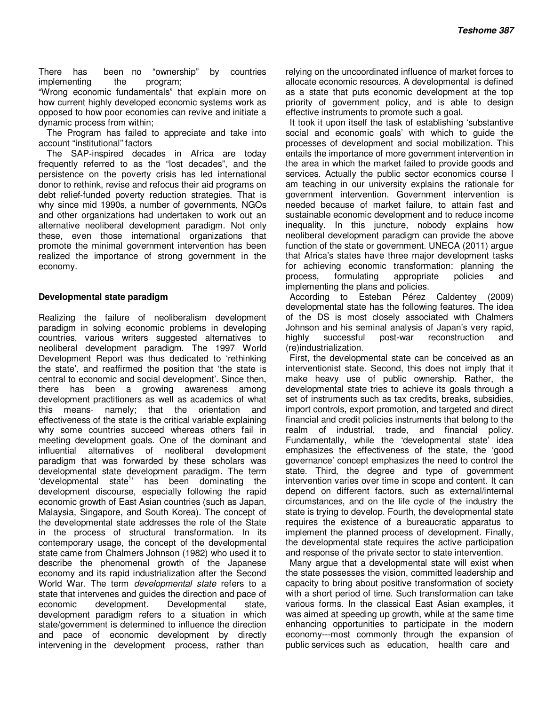There has been no "ownership" by countries implementing the program;

"Wrong economic fundamentals" that explain more on how current highly developed economic systems work as opposed to how poor economies can revive and initiate a dynamic process from within;

The Program has failed to appreciate and take into account "institutional" factors

The SAP‐inspired decades in Africa are today frequently referred to as the "lost decades", and the persistence on the poverty crisis has led international donor to rethink, revise and refocus their aid programs on debt relief-funded poverty reduction strategies. That is why since mid 1990s, a number of governments, NGOs and other organizations had undertaken to work out an alternative neoliberal development paradigm. Not only these, even those international organizations that promote the minimal government intervention has been realized the importance of strong government in the economy.

#### **Developmental state paradigm**

Realizing the failure of neoliberalism development paradigm in solving economic problems in developing countries, various writers suggested alternatives to neoliberal development paradigm. The 1997 World Development Report was thus dedicated to 'rethinking the state', and reaffirmed the position that 'the state is central to economic and social development'. Since then, there has been a growing awareness among development practitioners as well as academics of what this means- namely; that the orientation and effectiveness of the state is the critical variable explaining why some countries succeed whereas others fail in meeting development goals. One of the dominant and influential alternatives of neoliberal development paradigm that was forwarded by these scholars was developmental state development paradigm. The term 'developmental state<sup>1</sup>' has been dominating the development discourse, especially following the rapid economic growth of East Asian countries (such as Japan, Malaysia, Singapore, and South Korea). The concept of the developmental state addresses the role of the State in the process of structural transformation. In its contemporary usage, the concept of the developmental state came from Chalmers Johnson (1982) who used it to describe the phenomenal growth of the Japanese economy and its rapid industrialization after the Second World War. The term developmental state refers to a state that intervenes and guides the direction and pace of economic development. Developmental state, development paradigm refers to a situation in which state/government is determined to influence the direction and pace of economic development by directly intervening in the development process, rather than

relying on the uncoordinated influence of market forces to allocate economic resources. A developmental is defined as a state that puts economic development at the top priority of government policy, and is able to design effective instruments to promote such a goal.

It took it upon itself the task of establishing 'substantive social and economic goals' with which to guide the processes of development and social mobilization. This entails the importance of more government intervention in the area in which the market failed to provide goods and services. Actually the public sector economics course I am teaching in our university explains the rationale for government intervention. Government intervention is needed because of market failure, to attain fast and sustainable economic development and to reduce income inequality. In this juncture, nobody explains how neoliberal development paradigm can provide the above function of the state or government. UNECA (2011) argue that Africa's states have three major development tasks for achieving economic transformation: planning the process, formulating appropriate policies and implementing the plans and policies.

According to Esteban Pérez Caldentey (2009) developmental state has the following features. The idea of the DS is most closely associated with Chalmers Johnson and his seminal analysis of Japan's very rapid, highly successful post-war reconstruction and (re)industrialization.

First, the developmental state can be conceived as an interventionist state. Second, this does not imply that it make heavy use of public ownership. Rather, the developmental state tries to achieve its goals through a set of instruments such as tax credits, breaks, subsidies, import controls, export promotion, and targeted and direct financial and credit policies instruments that belong to the realm of industrial, trade, and financial policy. Fundamentally, while the 'developmental state' idea emphasizes the effectiveness of the state, the 'good governance' concept emphasizes the need to control the state. Third, the degree and type of government intervention varies over time in scope and content. It can depend on different factors, such as external/internal circumstances, and on the life cycle of the industry the state is trying to develop. Fourth, the developmental state requires the existence of a bureaucratic apparatus to implement the planned process of development. Finally, the developmental state requires the active participation and response of the private sector to state intervention.

Many argue that a developmental state will exist when the state possesses the vision, committed leadership and capacity to bring about positive transformation of society with a short period of time. Such transformation can take various forms. In the classical East Asian examples, it was aimed at speeding up growth, while at the same time enhancing opportunities to participate in the modern economy---most commonly through the expansion of public services such as education, health care and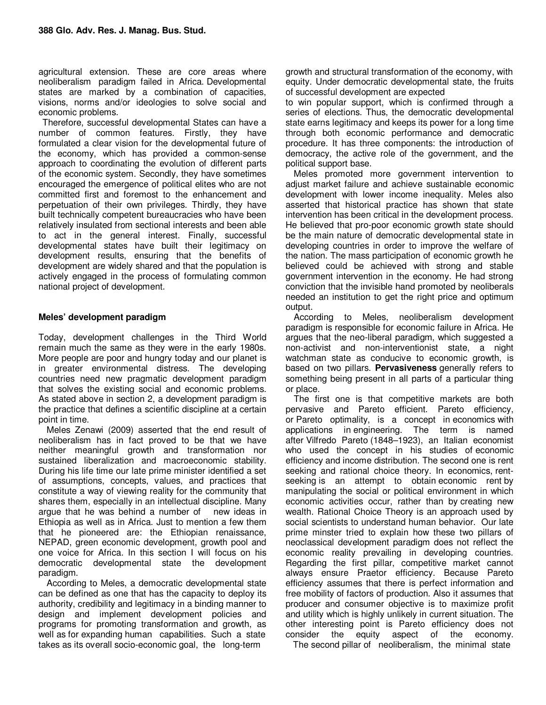agricultural extension. These are core areas where neoliberalism paradigm failed in Africa. Developmental states are marked by a combination of capacities, visions, norms and/or ideologies to solve social and economic problems.

Therefore, successful developmental States can have a number of common features. Firstly, they have formulated a clear vision for the developmental future of the economy, which has provided a common-sense approach to coordinating the evolution of different parts of the economic system. Secondly, they have sometimes encouraged the emergence of political elites who are not committed first and foremost to the enhancement and perpetuation of their own privileges. Thirdly, they have built technically competent bureaucracies who have been relatively insulated from sectional interests and been able to act in the general interest. Finally, successful developmental states have built their legitimacy on development results, ensuring that the benefits of development are widely shared and that the population is actively engaged in the process of formulating common national project of development.

#### **Meles' development paradigm**

Today, development challenges in the Third World remain much the same as they were in the early 1980s. More people are poor and hungry today and our planet is in greater environmental distress. The developing countries need new pragmatic development paradigm that solves the existing social and economic problems. As stated above in section 2, a development paradigm is the practice that defines a scientific discipline at a certain point in time.

Meles Zenawi (2009) asserted that the end result of neoliberalism has in fact proved to be that we have neither meaningful growth and transformation nor sustained liberalization and macroeconomic stability. During his life time our late prime minister identified a set of assumptions, concepts, values, and practices that constitute a way of viewing reality for the community that shares them, especially in an intellectual discipline. Many argue that he was behind a number of new ideas in Ethiopia as well as in Africa. Just to mention a few them that he pioneered are: the Ethiopian renaissance, NEPAD, green economic development, growth pool and one voice for Africa. In this section I will focus on his democratic developmental state the development paradigm.

According to Meles, a democratic developmental state can be defined as one that has the capacity to deploy its authority, credibility and legitimacy in a binding manner to design and implement development policies and programs for promoting transformation and growth, as well as for expanding human capabilities. Such a state takes as its overall socio-economic goal, the long-term

growth and structural transformation of the economy, with equity. Under democratic developmental state, the fruits of successful development are expected

to win popular support, which is confirmed through a series of elections. Thus, the democratic developmental state earns legitimacy and keeps its power for a long time through both economic performance and democratic procedure. It has three components: the introduction of democracy, the active role of the government, and the political support base.

Meles promoted more government intervention to adjust market failure and achieve sustainable economic development with lower income inequality. Meles also asserted that historical practice has shown that state intervention has been critical in the development process. He believed that pro-poor economic growth state should be the main nature of democratic developmental state in developing countries in order to improve the welfare of the nation. The mass participation of economic growth he believed could be achieved with strong and stable government intervention in the economy. He had strong conviction that the invisible hand promoted by neoliberals needed an institution to get the right price and optimum output.

According to Meles, neoliberalism development paradigm is responsible for economic failure in Africa. He argues that the neo-liberal paradigm, which suggested a non-activist and non-interventionist state, a night watchman state as conducive to economic growth, is based on two pillars. **Pervasiveness** generally refers to something being present in all parts of a particular thing or place.

The first one is that competitive markets are both pervasive and Pareto efficient. Pareto efficiency, or Pareto optimality, is a concept in economics with applications in engineering. The term is named after Vilfredo Pareto (1848–1923), an Italian economist who used the concept in his studies of economic efficiency and income distribution. The second one is rent seeking and rational choice theory. In economics, rentseeking is an attempt to obtain economic rent by manipulating the social or political environment in which economic activities occur, rather than by creating new wealth. Rational Choice Theory is an approach used by social scientists to understand human behavior. Our late prime minster tried to explain how these two pillars of neoclassical development paradigm does not reflect the economic reality prevailing in developing countries. Regarding the first pillar, competitive market cannot always ensure Praetor efficiency. Because Pareto efficiency assumes that there is perfect information and free mobility of factors of production. Also it assumes that producer and consumer objective is to maximize profit and utility which is highly unlikely in current situation. The other interesting point is Pareto efficiency does not consider the equity aspect of the economy.

The second pillar of neoliberalism, the minimal state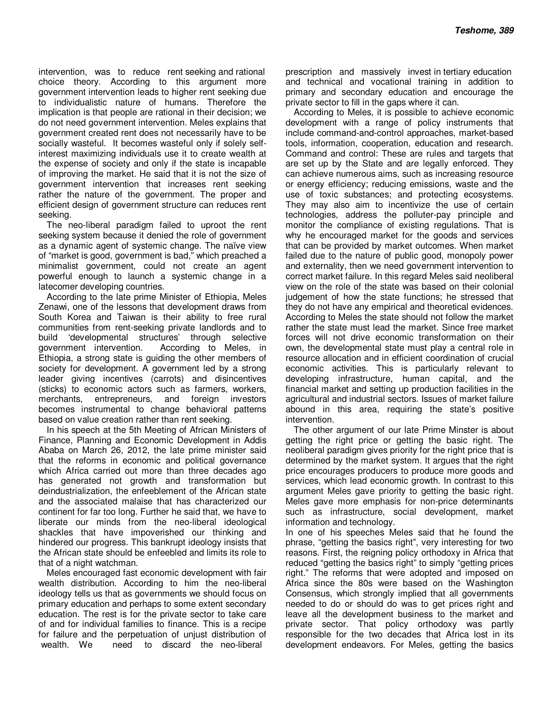intervention, was to reduce rent seeking and rational choice theory. According to this argument more government intervention leads to higher rent seeking due to individualistic nature of humans. Therefore the implication is that people are rational in their decision; we do not need government intervention. Meles explains that government created rent does not necessarily have to be socially wasteful. It becomes wasteful only if solely selfinterest maximizing individuals use it to create wealth at the expense of society and only if the state is incapable of improving the market. He said that it is not the size of government intervention that increases rent seeking rather the nature of the government. The proper and efficient design of government structure can reduces rent seeking.

The neo-liberal paradigm failed to uproot the rent seeking system because it denied the role of government as a dynamic agent of systemic change. The naïve view of "market is good, government is bad," which preached a minimalist government, could not create an agent powerful enough to launch a systemic change in a latecomer developing countries.

According to the late prime Minister of Ethiopia, Meles Zenawi, one of the lessons that development draws from South Korea and Taiwan is their ability to free rural communities from rent-seeking private landlords and to build 'developmental structures' through selective government intervention. According to Meles, in Ethiopia, a strong state is guiding the other members of society for development. A government led by a strong leader giving incentives (carrots) and disincentives (sticks) to economic actors such as farmers, workers, merchants, entrepreneurs, and foreign investors becomes instrumental to change behavioral patterns based on value creation rather than rent seeking.

In his speech at the 5th Meeting of African Ministers of Finance, Planning and Economic Development in Addis Ababa on March 26, 2012, the late prime minister said that the reforms in economic and political governance which Africa carried out more than three decades ago has generated not growth and transformation but deindustrialization, the enfeeblement of the African state and the associated malaise that has characterized our continent for far too long. Further he said that, we have to liberate our minds from the neo-liberal ideological shackles that have impoverished our thinking and hindered our progress. This bankrupt ideology insists that the African state should be enfeebled and limits its role to that of a night watchman.

Meles encouraged fast economic development with fair wealth distribution. According to him the neo-liberal ideology tells us that as governments we should focus on primary education and perhaps to some extent secondary education. The rest is for the private sector to take care of and for individual families to finance. This is a recipe for failure and the perpetuation of unjust distribution of wealth. We need to discard the neo-liberal

prescription and massively invest in tertiary education and technical and vocational training in addition to primary and secondary education and encourage the private sector to fill in the gaps where it can.

According to Meles, it is possible to achieve economic development with a range of policy instruments that include command-and-control approaches, market-based tools, information, cooperation, education and research. Command and control: These are rules and targets that are set up by the State and are legally enforced. They can achieve numerous aims, such as increasing resource or energy efficiency; reducing emissions, waste and the use of toxic substances; and protecting ecosystems. They may also aim to incentivize the use of certain technologies, address the polluter-pay principle and monitor the compliance of existing regulations. That is why he encouraged market for the goods and services that can be provided by market outcomes. When market failed due to the nature of public good, monopoly power and externality, then we need government intervention to correct market failure. In this regard Meles said neoliberal view on the role of the state was based on their colonial judgement of how the state functions; he stressed that they do not have any empirical and theoretical evidences. According to Meles the state should not follow the market rather the state must lead the market. Since free market forces will not drive economic transformation on their own, the developmental state must play a central role in resource allocation and in efficient coordination of crucial economic activities. This is particularly relevant to developing infrastructure, human capital, and the financial market and setting up production facilities in the agricultural and industrial sectors. Issues of market failure abound in this area, requiring the state's positive intervention.

The other argument of our late Prime Minster is about getting the right price or getting the basic right. The neoliberal paradigm gives priority for the right price that is determined by the market system. It argues that the right price encourages producers to produce more goods and services, which lead economic growth. In contrast to this argument Meles gave priority to getting the basic right. Meles gave more emphasis for non-price determinants such as infrastructure, social development, market information and technology.

In one of his speeches Meles said that he found the phrase, "getting the basics right", very interesting for two reasons. First, the reigning policy orthodoxy in Africa that reduced "getting the basics right" to simply "getting prices right." The reforms that were adopted and imposed on Africa since the 80s were based on the Washington Consensus, which strongly implied that all governments needed to do or should do was to get prices right and leave all the development business to the market and private sector. That policy orthodoxy was partly responsible for the two decades that Africa lost in its development endeavors. For Meles, getting the basics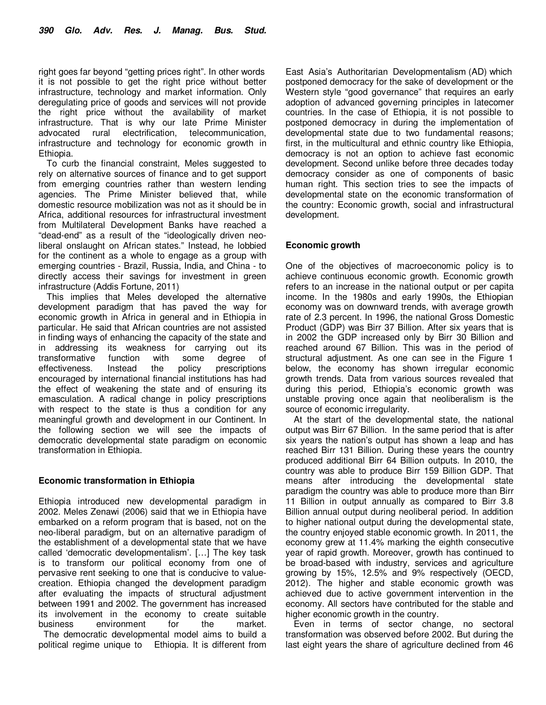right goes far beyond "getting prices right". In other words it is not possible to get the right price without better infrastructure, technology and market information. Only deregulating price of goods and services will not provide the right price without the availability of market infrastructure. That is why our late Prime Minister advocated rural electrification, telecommunication, infrastructure and technology for economic growth in Ethiopia.

To curb the financial constraint, Meles suggested to rely on alternative sources of finance and to get support from emerging countries rather than western lending agencies. The Prime Minister believed that, while domestic resource mobilization was not as it should be in Africa, additional resources for infrastructural investment from Multilateral Development Banks have reached a "dead-end" as a result of the "ideologically driven neoliberal onslaught on African states." Instead, he lobbied for the continent as a whole to engage as a group with emerging countries - Brazil, Russia, India, and China - to directly access their savings for investment in green infrastructure (Addis Fortune, 2011)

This implies that Meles developed the alternative development paradigm that has paved the way for economic growth in Africa in general and in Ethiopia in particular. He said that African countries are not assisted in finding ways of enhancing the capacity of the state and in addressing its weakness for carrying out its transformative function with some degree of effectiveness. Instead the policy prescriptions encouraged by international financial institutions has had the effect of weakening the state and of ensuring its emasculation. A radical change in policy prescriptions with respect to the state is thus a condition for any meaningful growth and development in our Continent. In the following section we will see the impacts of democratic developmental state paradigm on economic transformation in Ethiopia.

#### **Economic transformation in Ethiopia**

Ethiopia introduced new developmental paradigm in 2002. Meles Zenawi (2006) said that we in Ethiopia have embarked on a reform program that is based, not on the neo-liberal paradigm, but on an alternative paradigm of the establishment of a developmental state that we have called 'democratic developmentalism'. […] The key task is to transform our political economy from one of pervasive rent seeking to one that is conducive to valuecreation. Ethiopia changed the development paradigm after evaluating the impacts of structural adjustment between 1991 and 2002. The government has increased its involvement in the economy to create suitable business environment for the market. The democratic developmental model aims to build a

political regime unique to Ethiopia. It is different from

East Asia's Authoritarian Developmentalism (AD) which postponed democracy for the sake of development or the Western style "good governance" that requires an early adoption of advanced governing principles in latecomer countries. In the case of Ethiopia, it is not possible to postponed democracy in during the implementation of developmental state due to two fundamental reasons; first, in the multicultural and ethnic country like Ethiopia, democracy is not an option to achieve fast economic development. Second unlike before three decades today democracy consider as one of components of basic human right. This section tries to see the impacts of developmental state on the economic transformation of the country: Economic growth, social and infrastructural development.

#### **Economic growth**

One of the objectives of macroeconomic policy is to achieve continuous economic growth. Economic growth refers to an increase in the national output or per capita income. In the 1980s and early 1990s, the Ethiopian economy was on downward trends, with average growth rate of 2.3 percent. In 1996, the national Gross Domestic Product (GDP) was Birr 37 Billion. After six years that is in 2002 the GDP increased only by Birr 30 Billion and reached around 67 Billion. This was in the period of structural adjustment. As one can see in the Figure 1 below, the economy has shown irregular economic growth trends. Data from various sources revealed that during this period, Ethiopia's economic growth was unstable proving once again that neoliberalism is the source of economic irregularity.

At the start of the developmental state, the national output was Birr 67 Billion. In the same period that is after six years the nation's output has shown a leap and has reached Birr 131 Billion. During these years the country produced additional Birr 64 Billion outputs. In 2010, the country was able to produce Birr 159 Billion GDP. That means after introducing the developmental state paradigm the country was able to produce more than Birr 11 Billion in output annually as compared to Birr 3.8 Billion annual output during neoliberal period. In addition to higher national output during the developmental state, the country enjoyed stable economic growth. In 2011, the economy grew at 11.4% marking the eighth consecutive year of rapid growth. Moreover, growth has continued to be broad-based with industry, services and agriculture growing by 15%, 12.5% and 9% respectively (OECD, 2012). The higher and stable economic growth was achieved due to active government intervention in the economy. All sectors have contributed for the stable and higher economic growth in the country.

Even in terms of sector change, no sectoral transformation was observed before 2002. But during the last eight years the share of agriculture declined from 46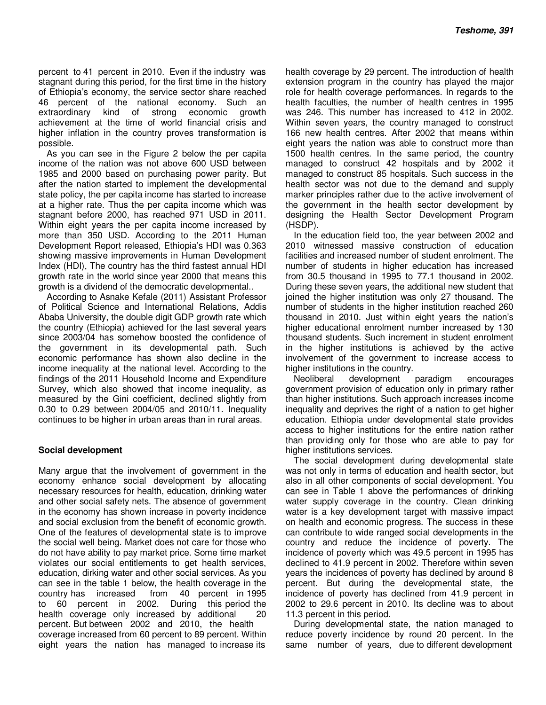percent to 41 percent in 2010. Even if the industry was stagnant during this period, for the first time in the history of Ethiopia's economy, the service sector share reached 46 percent of the national economy. Such an extraordinary kind of strong economic growth achievement at the time of world financial crisis and higher inflation in the country proves transformation is possible.

As you can see in the Figure 2 below the per capita income of the nation was not above 600 USD between 1985 and 2000 based on purchasing power parity. But after the nation started to implement the developmental state policy, the per capita income has started to increase at a higher rate. Thus the per capita income which was stagnant before 2000, has reached 971 USD in 2011. Within eight years the per capita income increased by more than 350 USD. According to the 2011 Human Development Report released, Ethiopia's HDI was 0.363 showing massive improvements in Human Development Index (HDI), The country has the third fastest annual HDI growth rate in the world since year 2000 that means this growth is a dividend of the democratic developmental..

According to Asnake Kefale (2011) Assistant Professor of Political Science and International Relations, Addis Ababa University, the double digit GDP growth rate which the country (Ethiopia) achieved for the last several years since 2003/04 has somehow boosted the confidence of the government in its developmental path. Such economic performance has shown also decline in the income inequality at the national level. According to the findings of the 2011 Household Income and Expenditure Survey, which also showed that income inequality, as measured by the Gini coefficient, declined slightly from 0.30 to 0.29 between 2004/05 and 2010/11. Inequality continues to be higher in urban areas than in rural areas.

#### **Social development**

Many argue that the involvement of government in the economy enhance social development by allocating necessary resources for health, education, drinking water and other social safety nets. The absence of government in the economy has shown increase in poverty incidence and social exclusion from the benefit of economic growth. One of the features of developmental state is to improve the social well being. Market does not care for those who do not have ability to pay market price. Some time market violates our social entitlements to get health services, education, dirking water and other social services. As you can see in the table 1 below, the health coverage in the country has increased from 40 percent in 1995 to 60 percent in 2002. During this period the health coverage only increased by additional 20 percent. But between 2002 and 2010, the health coverage increased from 60 percent to 89 percent. Within eight years the nation has managed to increase its

health coverage by 29 percent. The introduction of health extension program in the country has played the major role for health coverage performances. In regards to the health faculties, the number of health centres in 1995 was 246. This number has increased to 412 in 2002. Within seven years, the country managed to construct 166 new health centres. After 2002 that means within eight years the nation was able to construct more than 1500 health centres. In the same period, the country managed to construct 42 hospitals and by 2002 it managed to construct 85 hospitals. Such success in the health sector was not due to the demand and supply marker principles rather due to the active involvement of the government in the health sector development by designing the Health Sector Development Program (HSDP).

In the education field too, the year between 2002 and 2010 witnessed massive construction of education facilities and increased number of student enrolment. The number of students in higher education has increased from 30.5 thousand in 1995 to 77.1 thousand in 2002. During these seven years, the additional new student that joined the higher institution was only 27 thousand. The number of students in the higher institution reached 260 thousand in 2010. Just within eight years the nation's higher educational enrolment number increased by 130 thousand students. Such increment in student enrolment in the higher institutions is achieved by the active involvement of the government to increase access to higher institutions in the country.

Neoliberal development paradigm encourages government provision of education only in primary rather than higher institutions. Such approach increases income inequality and deprives the right of a nation to get higher education. Ethiopia under developmental state provides access to higher institutions for the entire nation rather than providing only for those who are able to pay for higher institutions services.

The social development during developmental state was not only in terms of education and health sector, but also in all other components of social development. You can see in Table 1 above the performances of drinking water supply coverage in the country. Clean drinking water is a key development target with massive impact on health and economic progress. The success in these can contribute to wide ranged social developments in the country and reduce the incidence of poverty. The incidence of poverty which was 49.5 percent in 1995 has declined to 41.9 percent in 2002. Therefore within seven years the incidences of poverty has declined by around 8 percent. But during the developmental state, the incidence of poverty has declined from 41.9 percent in 2002 to 29.6 percent in 2010. Its decline was to about 11.3 percent in this period.

During developmental state, the nation managed to reduce poverty incidence by round 20 percent. In the same number of years, due to different development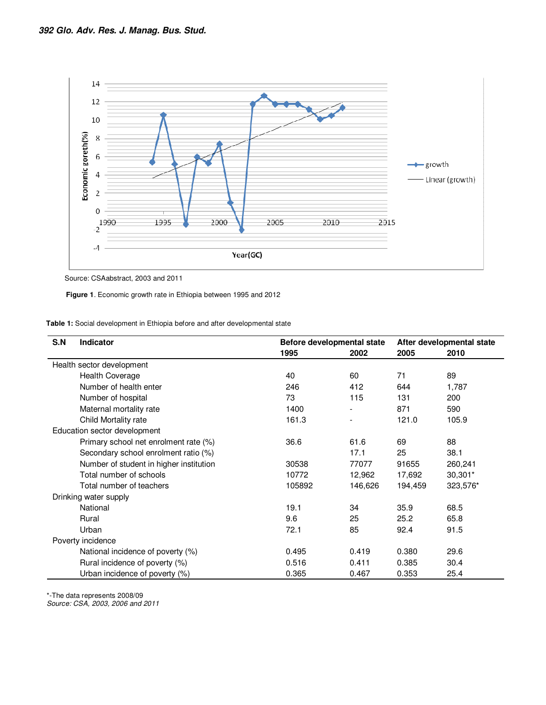

Source: CSAabstract, 2003 and 2011

 **Figure 1**. Economic growth rate in Ethiopia between 1995 and 2012

 **Table 1:** Social development in Ethiopia before and after developmental state

| S.N | <b>Indicator</b>                        | Before developmental state |         | After developmental state |           |
|-----|-----------------------------------------|----------------------------|---------|---------------------------|-----------|
|     |                                         | 1995                       | 2002    | 2005                      | 2010      |
|     | Health sector development               |                            |         |                           |           |
|     | <b>Health Coverage</b>                  | 40                         | 60      | 71                        | 89        |
|     | Number of health enter                  | 246                        | 412     | 644                       | 1,787     |
|     | Number of hospital                      | 73                         | 115     | 131                       | 200       |
|     | Maternal mortality rate                 | 1400                       |         | 871                       | 590       |
|     | Child Mortality rate                    | 161.3                      |         | 121.0                     | 105.9     |
|     | Education sector development            |                            |         |                           |           |
|     | Primary school net enrolment rate (%)   | 36.6                       | 61.6    | 69                        | 88        |
|     | Secondary school enrolment ratio (%)    |                            | 17.1    | 25                        | 38.1      |
|     | Number of student in higher institution | 30538                      | 77077   | 91655                     | 260,241   |
|     | Total number of schools                 | 10772                      | 12,962  | 17,692                    | $30,301*$ |
|     | Total number of teachers                | 105892                     | 146,626 | 194,459                   | 323,576*  |
|     | Drinking water supply                   |                            |         |                           |           |
|     | National                                | 19.1                       | 34      | 35.9                      | 68.5      |
|     | Rural                                   | 9.6                        | 25      | 25.2                      | 65.8      |
|     | Urban                                   | 72.1                       | 85      | 92.4                      | 91.5      |
|     | Poverty incidence                       |                            |         |                           |           |
|     | National incidence of poverty (%)       | 0.495                      | 0.419   | 0.380                     | 29.6      |
|     | Rural incidence of poverty (%)          | 0.516                      | 0.411   | 0.385                     | 30.4      |
|     | Urban incidence of poverty (%)          | 0.365                      | 0.467   | 0.353                     | 25.4      |

\*-The data represents 2008/09

Source: CSA, 2003, 2006 and 2011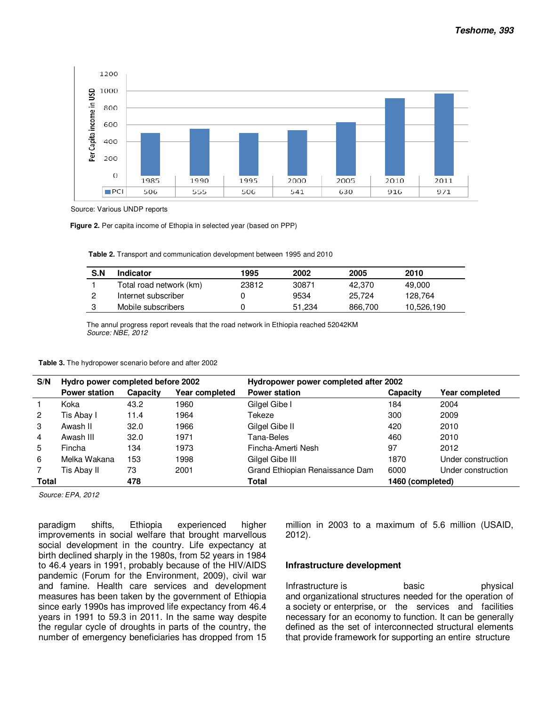

Source: Various UNDP reports

 **Figure 2.** Per capita income of Ethopia in selected year (based on PPP)

 **Table 2.** Transport and communication development between 1995 and 2010

| S.N | Indicator               | 1995  | 2002   | 2005    | 2010       |
|-----|-------------------------|-------|--------|---------|------------|
|     | Total road network (km) | 23812 | 30871  | 42.370  | 49.000     |
|     | Internet subscriber     |       | 9534   | 25.724  | 128.764    |
|     | Mobile subscribers      |       | 51.234 | 866,700 | 10,526,190 |

The annul progress report reveals that the road network in Ethiopia reached 52042KM Source: NBE, 2012

| S/N            | Hydro power completed before 2002 |          |                | Hydropower power completed after 2002 |          |                    |  |
|----------------|-----------------------------------|----------|----------------|---------------------------------------|----------|--------------------|--|
|                | <b>Power station</b>              | Capacity | Year completed | <b>Power station</b>                  | Capacity | Year completed     |  |
|                | Koka                              | 43.2     | 1960           | Gilgel Gibe I                         | 184      | 2004               |  |
| $\overline{2}$ | Tis Abay I                        | 11.4     | 1964           | Tekeze                                | 300      | 2009               |  |
| 3              | Awash II                          | 32.0     | 1966           | Gilgel Gibe II                        | 420      | 2010               |  |
| 4              | Awash III                         | 32.0     | 1971           | Tana-Beles                            | 460      | 2010               |  |
| 5              | Fincha                            | 134      | 1973           | Fincha-Amerti Nesh                    | 97       | 2012               |  |
| 6              | Melka Wakana                      | 153      | 1998           | Gilgel Gibe III                       | 1870     | Under construction |  |
|                | Tis Abav II                       | 73       | 2001           | Grand Ethiopian Renaissance Dam       | 6000     | Under construction |  |
| Total          |                                   | 478      |                | Total<br>1460 (completed)             |          |                    |  |

Source: EPA, 2012

paradigm shifts, Ethiopia experienced higher improvements in social welfare that brought marvellous social development in the country. Life expectancy at birth declined sharply in the 1980s, from 52 years in 1984 to 46.4 years in 1991, probably because of the HIV/AIDS pandemic (Forum for the Environment, 2009), civil war and famine. Health care services and development measures has been taken by the government of Ethiopia since early 1990s has improved life expectancy from 46.4 years in 1991 to 59.3 in 2011. In the same way despite the regular cycle of droughts in parts of the country, the number of emergency beneficiaries has dropped from 15 million in 2003 to a maximum of 5.6 million (USAID, 2012).

#### **Infrastructure development**

Infrastructure is basic basic physical and organizational structures needed for the operation of a society or enterprise, or the services and facilities necessary for an economy to function. It can be generally defined as the set of interconnected structural elements that provide framework for supporting an entire structure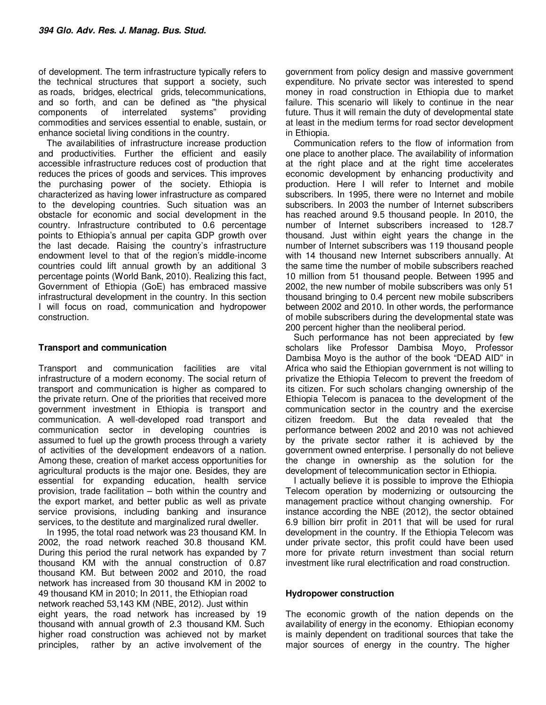of development. The term infrastructure typically refers to the technical structures that support a society, such as roads, bridges, electrical grids, telecommunications, and so forth, and can be defined as "the physical components of interrelated systems" providing commodities and services essential to enable, sustain, or enhance societal living conditions in the country.

The availabilities of infrastructure increase production and productivities. Further the efficient and easily accessible infrastructure reduces cost of production that reduces the prices of goods and services. This improves the purchasing power of the society. Ethiopia is characterized as having lower infrastructure as compared to the developing countries. Such situation was an obstacle for economic and social development in the country. Infrastructure contributed to 0.6 percentage points to Ethiopia's annual per capita GDP growth over the last decade. Raising the country's infrastructure endowment level to that of the region's middle-income countries could lift annual growth by an additional 3 percentage points (World Bank, 2010). Realizing this fact, Government of Ethiopia (GoE) has embraced massive infrastructural development in the country. In this section I will focus on road, communication and hydropower construction.

# **Transport and communication**

Transport and communication facilities are vital infrastructure of a modern economy. The social return of transport and communication is higher as compared to the private return. One of the priorities that received more government investment in Ethiopia is transport and communication. A well-developed road transport and communication sector in developing countries is assumed to fuel up the growth process through a variety of activities of the development endeavors of a nation. Among these, creation of market access opportunities for agricultural products is the major one. Besides, they are essential for expanding education, health service provision, trade facilitation – both within the country and the export market, and better public as well as private service provisions, including banking and insurance services, to the destitute and marginalized rural dweller.

In 1995, the total road network was 23 thousand KM. In 2002, the road network reached 30.8 thousand KM. During this period the rural network has expanded by 7 thousand KM with the annual construction of 0.87 thousand KM. But between 2002 and 2010, the road network has increased from 30 thousand KM in 2002 to 49 thousand KM in 2010; In 2011, the Ethiopian road network reached 53,143 KM (NBE, 2012). Just within eight years, the road network has increased by 19 thousand with annual growth of 2.3 thousand KM. Such higher road construction was achieved not by market principles, rather by an active involvement of the

government from policy design and massive government expenditure. No private sector was interested to spend money in road construction in Ethiopia due to market failure. This scenario will likely to continue in the near future. Thus it will remain the duty of developmental state at least in the medium terms for road sector development in Ethiopia.

Communication refers to the flow of information from one place to another place. The availability of information at the right place and at the right time accelerates economic development by enhancing productivity and production. Here I will refer to Internet and mobile subscribers. In 1995, there were no Internet and mobile subscribers. In 2003 the number of Internet subscribers has reached around 9.5 thousand people. In 2010, the number of Internet subscribers increased to 128.7 thousand. Just within eight years the change in the number of Internet subscribers was 119 thousand people with 14 thousand new Internet subscribers annually. At the same time the number of mobile subscribers reached 10 million from 51 thousand people. Between 1995 and 2002, the new number of mobile subscribers was only 51 thousand bringing to 0.4 percent new mobile subscribers between 2002 and 2010. In other words, the performance of mobile subscribers during the developmental state was 200 percent higher than the neoliberal period.

Such performance has not been appreciated by few scholars like Professor Dambisa Moyo, Professor Dambisa Moyo is the author of the book "DEAD AID" in Africa who said the Ethiopian government is not willing to privatize the Ethiopia Telecom to prevent the freedom of its citizen. For such scholars changing ownership of the Ethiopia Telecom is panacea to the development of the communication sector in the country and the exercise citizen freedom. But the data revealed that the performance between 2002 and 2010 was not achieved by the private sector rather it is achieved by the government owned enterprise. I personally do not believe the change in ownership as the solution for the development of telecommunication sector in Ethiopia.

I actually believe it is possible to improve the Ethiopia Telecom operation by modernizing or outsourcing the management practice without changing ownership. For instance according the NBE (2012), the sector obtained 6.9 billion birr profit in 2011 that will be used for rural development in the country. If the Ethiopia Telecom was under private sector, this profit could have been used more for private return investment than social return investment like rural electrification and road construction.

# **Hydropower construction**

The economic growth of the nation depends on the availability of energy in the economy. Ethiopian economy is mainly dependent on traditional sources that take the major sources of energy in the country. The higher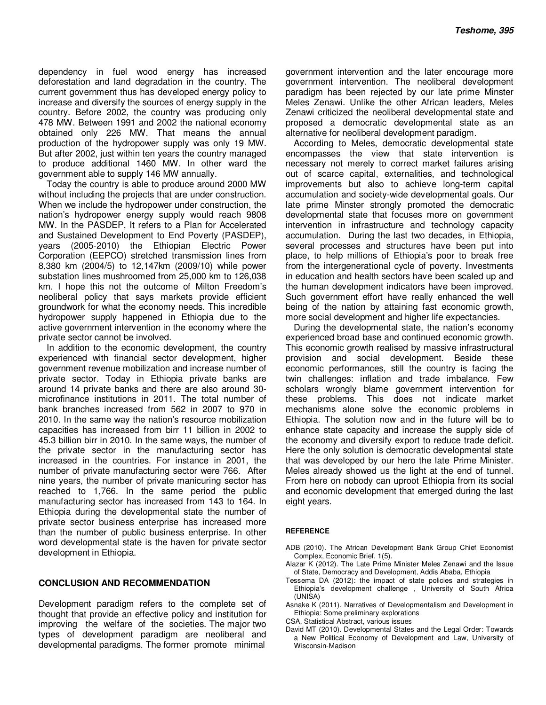dependency in fuel wood energy has increased deforestation and land degradation in the country. The current government thus has developed energy policy to increase and diversify the sources of energy supply in the country. Before 2002, the country was producing only 478 MW. Between 1991 and 2002 the national economy obtained only 226 MW. That means the annual production of the hydropower supply was only 19 MW. But after 2002, just within ten years the country managed to produce additional 1460 MW. In other ward the government able to supply 146 MW annually.

Today the country is able to produce around 2000 MW without including the projects that are under construction. When we include the hydropower under construction, the nation's hydropower energy supply would reach 9808 MW. In the PASDEP, It refers to a Plan for Accelerated and Sustained Development to End Poverty (PASDEP), years (2005-2010) the Ethiopian Electric Power Corporation (EEPCO) stretched transmission lines from 8,380 km (2004/5) to 12,147km (2009/10) while power substation lines mushroomed from 25,000 km to 126,038 km. I hope this not the outcome of Milton Freedom's neoliberal policy that says markets provide efficient groundwork for what the economy needs. This incredible hydropower supply happened in Ethiopia due to the active government intervention in the economy where the private sector cannot be involved.

In addition to the economic development, the country experienced with financial sector development, higher government revenue mobilization and increase number of private sector. Today in Ethiopia private banks are around 14 private banks and there are also around 30 microfinance institutions in 2011. The total number of bank branches increased from 562 in 2007 to 970 in 2010. In the same way the nation's resource mobilization capacities has increased from birr 11 billion in 2002 to 45.3 billion birr in 2010. In the same ways, the number of the private sector in the manufacturing sector has increased in the countries. For instance in 2001, the number of private manufacturing sector were 766. After nine years, the number of private manicuring sector has reached to 1,766. In the same period the public manufacturing sector has increased from 143 to 164. In Ethiopia during the developmental state the number of private sector business enterprise has increased more than the number of public business enterprise. In other word developmental state is the haven for private sector development in Ethiopia.

#### **CONCLUSION AND RECOMMENDATION**

Development paradigm refers to the complete set of thought that provide an effective policy and institution for improving the welfare of the societies. The major two types of development paradigm are neoliberal and developmental paradigms. The former promote minimal

government intervention and the later encourage more government intervention. The neoliberal development paradigm has been rejected by our late prime Minster Meles Zenawi. Unlike the other African leaders, Meles Zenawi criticized the neoliberal developmental state and proposed a democratic developmental state as an alternative for neoliberal development paradigm.

According to Meles, democratic developmental state encompasses the view that state intervention is necessary not merely to correct market failures arising out of scarce capital, externalities, and technological improvements but also to achieve long-term capital accumulation and society-wide developmental goals. Our late prime Minster strongly promoted the democratic developmental state that focuses more on government intervention in infrastructure and technology capacity accumulation. During the last two decades, in Ethiopia, several processes and structures have been put into place, to help millions of Ethiopia's poor to break free from the intergenerational cycle of poverty. Investments in education and health sectors have been scaled up and the human development indicators have been improved. Such government effort have really enhanced the well being of the nation by attaining fast economic growth, more social development and higher life expectancies.

During the developmental state, the nation's economy experienced broad base and continued economic growth. This economic growth realised by massive infrastructural provision and social development. Beside these economic performances, still the country is facing the twin challenges: inflation and trade imbalance. Few scholars wrongly blame government intervention for these problems. This does not indicate market mechanisms alone solve the economic problems in Ethiopia. The solution now and in the future will be to enhance state capacity and increase the supply side of the economy and diversify export to reduce trade deficit. Here the only solution is democratic developmental state that was developed by our hero the late Prime Minister. Meles already showed us the light at the end of tunnel. From here on nobody can uproot Ethiopia from its social and economic development that emerged during the last eight years.

#### **REFERENCE**

- ADB (2010). The African Development Bank Group Chief Economist Complex, Economic Brief. 1(5).
- Alazar K (2012). The Late Prime Minister Meles Zenawi and the Issue of State, Democracy and Development, Addis Ababa, Ethiopia
- Tessema DA (2012): the impact of state policies and strategies in Ethiopia's development challenge , University of South Africa (UNISA)
- Asnake K (2011). Narratives of Developmentalism and Development in Ethiopia: Some preliminary explorations

CSA, Statistical Abstract, various issues

David MT (2010). Developmental States and the Legal Order: Towards a New Political Economy of Development and Law, University of Wisconsin-Madison